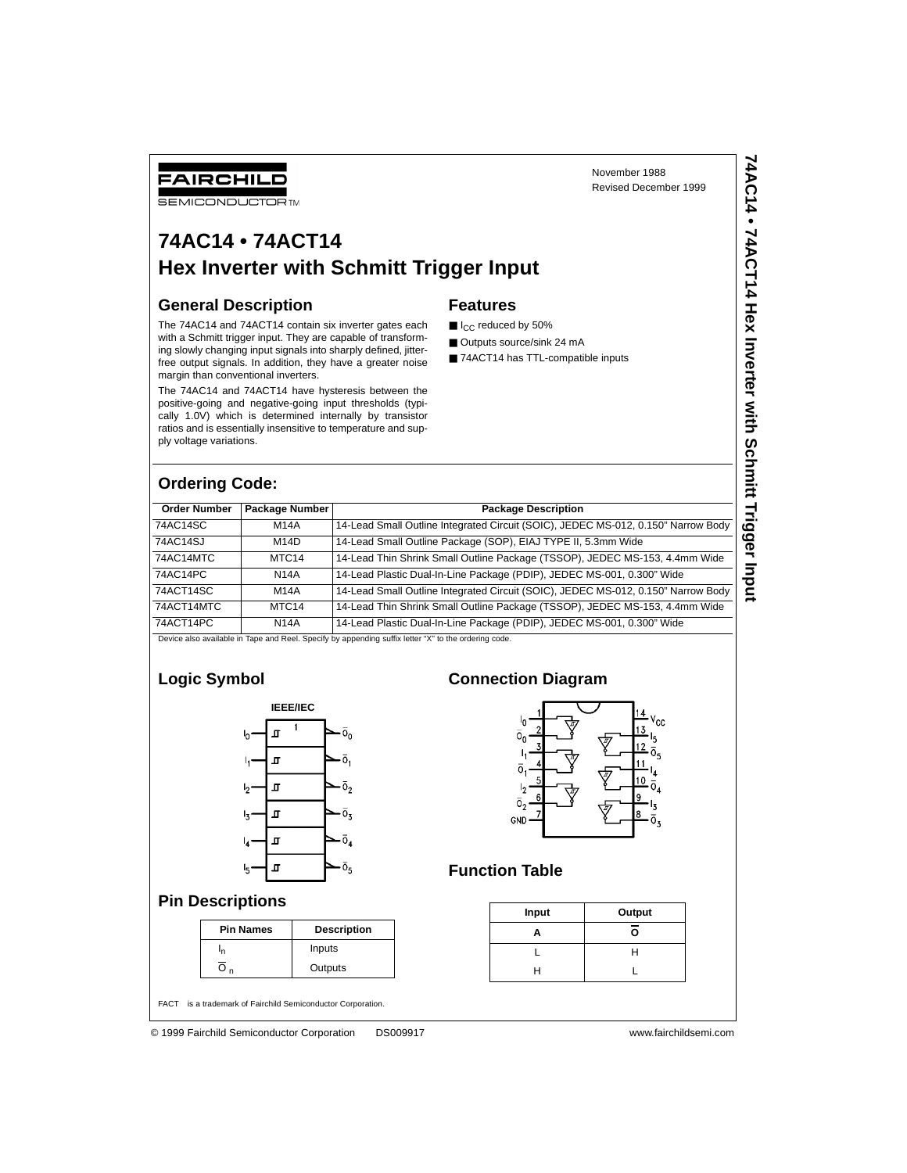# **74AC14 • 74ACT14**

# **Hex Inverter with Schmitt Trigger Input**

#### **General Description**

#### **Features**

- I<sub>CC</sub> reduced by 50%
- Outputs source/sink 24 mA
- 74ACT14 has TTL-compatible inputs

# **Ordering Code:**

| November 1988<br><b>FAIRCHILD</b><br>Revised December 1999<br><b>SEMICONDUCTORTM</b> |                                     |                                                                                                                                                                                                                                                                                                                                                                                                                                                                                                          |                                                                                                                                                    |  |                          |  |  |  |  |  |
|--------------------------------------------------------------------------------------|-------------------------------------|----------------------------------------------------------------------------------------------------------------------------------------------------------------------------------------------------------------------------------------------------------------------------------------------------------------------------------------------------------------------------------------------------------------------------------------------------------------------------------------------------------|----------------------------------------------------------------------------------------------------------------------------------------------------|--|--------------------------|--|--|--|--|--|
|                                                                                      | 74AC14 • 74ACT14                    | Hex Inverter with Schmitt Trigger Input                                                                                                                                                                                                                                                                                                                                                                                                                                                                  |                                                                                                                                                    |  | <b>74ACT14</b>           |  |  |  |  |  |
| <b>General Description</b><br>ply voltage variations.                                | margin than conventional inverters. | The 74AC14 and 74ACT14 contain six inverter gates each<br>with a Schmitt trigger input. They are capable of transform-<br>ing slowly changing input signals into sharply defined, jitter-<br>free output signals. In addition, they have a greater noise<br>The 74AC14 and 74ACT14 have hysteresis between the<br>positive-going and negative-going input thresholds (typi-<br>cally 1.0V) which is determined internally by transistor<br>ratios and is essentially insensitive to temperature and sup- | <b>Features</b><br>$\blacksquare$ $\blacksquare$ $\blacksquare$ reduced by 50%<br>■ Outputs source/sink 24 mA<br>74ACT14 has TTL-compatible inputs |  | <b>Hex Inverter with</b> |  |  |  |  |  |
| <b>Ordering Code:</b>                                                                |                                     |                                                                                                                                                                                                                                                                                                                                                                                                                                                                                                          |                                                                                                                                                    |  | Schmitt                  |  |  |  |  |  |
| <b>Order Number</b>                                                                  | Package Number                      |                                                                                                                                                                                                                                                                                                                                                                                                                                                                                                          | <b>Package Description</b>                                                                                                                         |  |                          |  |  |  |  |  |
| 74AC14SC                                                                             | <b>M14A</b>                         |                                                                                                                                                                                                                                                                                                                                                                                                                                                                                                          | 14-Lead Small Outline Integrated Circuit (SOIC), JEDEC MS-012, 0.150" Narrow Body                                                                  |  | Trigger Input            |  |  |  |  |  |
| 74AC14SJ                                                                             | M <sub>14</sub> D                   |                                                                                                                                                                                                                                                                                                                                                                                                                                                                                                          | 14-Lead Small Outline Package (SOP), EIAJ TYPE II, 5.3mm Wide                                                                                      |  |                          |  |  |  |  |  |
| 74AC14MTC                                                                            | MTC14                               | 14-Lead Thin Shrink Small Outline Package (TSSOP), JEDEC MS-153, 4.4mm Wide                                                                                                                                                                                                                                                                                                                                                                                                                              |                                                                                                                                                    |  |                          |  |  |  |  |  |
| 74AC14PC                                                                             | <b>N14A</b>                         |                                                                                                                                                                                                                                                                                                                                                                                                                                                                                                          | 14-Lead Plastic Dual-In-Line Package (PDIP), JEDEC MS-001, 0.300" Wide                                                                             |  |                          |  |  |  |  |  |
| 74ACT14SC                                                                            | <b>M14A</b>                         |                                                                                                                                                                                                                                                                                                                                                                                                                                                                                                          | 14-Lead Small Outline Integrated Circuit (SOIC), JEDEC MS-012, 0.150" Narrow Body                                                                  |  |                          |  |  |  |  |  |
| 74ACT14MTC                                                                           | MTC14                               |                                                                                                                                                                                                                                                                                                                                                                                                                                                                                                          | 14-Lead Thin Shrink Small Outline Package (TSSOP), JEDEC MS-153, 4.4mm Wide                                                                        |  |                          |  |  |  |  |  |
| 74ACT14PC                                                                            | <b>N14A</b>                         |                                                                                                                                                                                                                                                                                                                                                                                                                                                                                                          | 14-Lead Plastic Dual-In-Line Package (PDIP), JEDEC MS-001, 0.300" Wide                                                                             |  |                          |  |  |  |  |  |
|                                                                                      |                                     |                                                                                                                                                                                                                                                                                                                                                                                                                                                                                                          |                                                                                                                                                    |  |                          |  |  |  |  |  |

Device also available in Tape and Reel. Specify by appending suffix letter "X" to the ordering code.

#### **Logic Symbol**

**Pin Descriptions**



#### **Connection Diagram**



#### **Function Table**

| Input | Output |
|-------|--------|
|       | о      |
|       |        |
|       |        |

FACT™ is a trademark of Fairchild Semiconductor Corporation.

© 1999 Fairchild Semiconductor Corporation DS009917 www.fairchildsemi.com

**Pin Names** Description  $I_n$  Inputs  $\overline{O}_n$  Outputs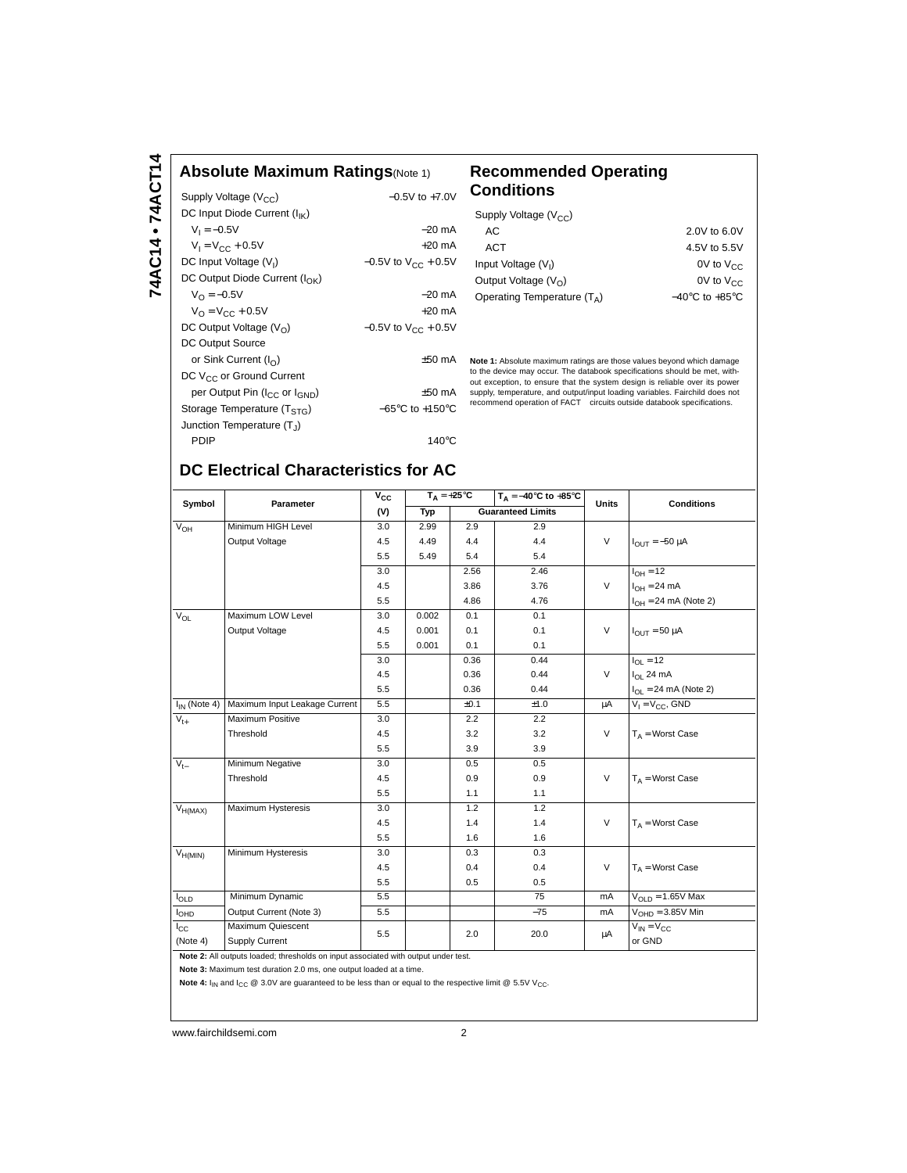#### **Absolute Maximum Ratings**(Note 1) **Recommended Operating**

| Supply Voltage (V <sub>CC</sub> )                     | $-0.5V$ to $+7.0V$                  |
|-------------------------------------------------------|-------------------------------------|
| DC Input Diode Current (I <sub>IK</sub> )             |                                     |
| $V_1 = -0.5V$                                         | $-20$ mA                            |
| $V_1 = V_{CC} + 0.5V$                                 | $+20$ mA                            |
| DC Input Voltage (V <sub>I</sub> )                    | $-0.5V$ to $V_{CC}$ + 0.5V          |
| DC Output Diode Current $(I_{\cap K})$                |                                     |
| $V_{\Omega} = -0.5V$                                  | $-20$ mA                            |
| $V_{\Omega} = V_{\Omega C} + 0.5V$                    | $+20$ mA                            |
| DC Output Voltage $(V0)$                              | $-0.5V$ to $V_{CC}$ + 0.5V          |
| <b>DC Output Source</b>                               |                                     |
|                                                       |                                     |
| or Sink Current $(I_{\cap})$                          | $+50 \text{ mA}$                    |
| DC V <sub>CC</sub> or Ground Current                  |                                     |
| per Output Pin (I <sub>CC</sub> or I <sub>GND</sub> ) | $+50 \text{ mA}$                    |
| Storage Temperature (T <sub>STG</sub> )               | $-65^{\circ}$ C to $+150^{\circ}$ C |
| Junction Temperature $(T_1)$                          |                                     |
| PDIP                                                  | 140°C                               |

# **Conditions**

| Supply Voltage $(V_{CC})$     |                                    |
|-------------------------------|------------------------------------|
| AC                            | 2.0V to 6.0V                       |
| <b>ACT</b>                    | 4.5V to 5.5V                       |
| Input Voltage $(V1)$          | 0V to $V_{CC}$                     |
| Output Voltage $(V_0)$        | 0V to $V_{CC}$                     |
| Operating Temperature $(T_A)$ | $-40^{\circ}$ C to $+85^{\circ}$ C |

**Note 1:** Absolute maximum ratings are those values beyond which damage<br>to the device may occur. The databook specifications should be met, with-<br>out exception, to ensure that the system design is reliable over its power<br>

# **DC Electrical Characteristics for AC**

| Symbol            | Parameter                     | $v_{\rm cc}$ | $T_A = +25^{\circ}C$            |      | $T_A = -40^{\circ}$ C to $+85^{\circ}$ C | <b>Units</b> | <b>Conditions</b>         |  |
|-------------------|-------------------------------|--------------|---------------------------------|------|------------------------------------------|--------------|---------------------------|--|
|                   |                               | (V)          | <b>Guaranteed Limits</b><br>Typ |      |                                          |              |                           |  |
| $V_{OH}$          | Minimum HIGH Level            | 3.0          | 2.99                            | 2.9  | 2.9                                      |              |                           |  |
|                   | Output Voltage                | 4.5          | 4.49                            | 4.4  | 4.4                                      | $\vee$       | $I_{OIII} = -50 \mu A$    |  |
|                   |                               | 5.5          | 5.49                            | 5.4  | 5.4                                      |              |                           |  |
|                   |                               | 3.0          |                                 | 2.56 | 2.46                                     |              | $I_{OH} = 12$             |  |
|                   |                               | 4.5          |                                 | 3.86 | 3.76                                     | $\vee$       | $I_{OH} = 24 \text{ mA}$  |  |
|                   |                               | 5.5          |                                 | 4.86 | 4.76                                     |              | $I_{OH} = 24$ mA (Note 2) |  |
| $V_{OL}$          | Maximum LOW Level             | 3.0          | 0.002                           | 0.1  | 0.1                                      |              |                           |  |
|                   | Output Voltage                | 4.5          | 0.001                           | 0.1  | 0.1                                      | $\vee$       | $I_{\text{OUT}}$ = 50 µA  |  |
|                   |                               | 5.5          | 0.001                           | 0.1  | 0.1                                      |              |                           |  |
|                   |                               | 3.0          |                                 | 0.36 | 0.44                                     |              | $I_{OL} = 12$             |  |
|                   |                               | 4.5          |                                 | 0.36 | 0.44                                     | $\vee$       | $I_{OL}$ 24 mA            |  |
|                   |                               | 5.5          |                                 | 0.36 | 0.44                                     |              | $I_{OL}$ = 24 mA (Note 2) |  |
| $I_{IN}$ (Note 4) | Maximum Input Leakage Current | 5.5          |                                 | ±0.1 | ±1.0                                     | μA           | $V_1 = V_{CC}$ , GND      |  |
| $V_{t+}$          | Maximum Positive              | 3.0          |                                 | 2.2  | 2.2                                      |              |                           |  |
|                   | Threshold                     | 4.5          |                                 | 3.2  | 3.2                                      | $\vee$       | $T_A =$ Worst Case        |  |
|                   |                               | 5.5          |                                 | 3.9  | 3.9                                      |              |                           |  |
| $V_{t-}$          | Minimum Negative              | 3.0          |                                 | 0.5  | 0.5                                      |              |                           |  |
|                   | Threshold                     | 4.5          |                                 | 0.9  | 0.9                                      | $\vee$       | $T_A$ = Worst Case        |  |
|                   |                               | 5.5          |                                 | 1.1  | 1.1                                      |              |                           |  |
| $V_{H(MAX)}$      | Maximum Hysteresis            | 3.0          |                                 | 1.2  | 1.2                                      |              |                           |  |
|                   |                               | 4.5          |                                 | 1.4  | 1.4                                      | $\vee$       | $T_A$ = Worst Case        |  |
|                   |                               | 5.5          |                                 | 1.6  | 1.6                                      |              |                           |  |
| $V_{H(MIN)}$      | Minimum Hysteresis            | 3.0          |                                 | 0.3  | 0.3                                      |              |                           |  |
|                   |                               | 4.5          |                                 | 0.4  | 0.4                                      | $\vee$       | $T_A$ = Worst Case        |  |
|                   |                               | 5.5          |                                 | 0.5  | 0.5                                      |              |                           |  |
| $I_{OLD}$         | Minimum Dynamic               | 5.5          |                                 |      | 75                                       | mA           | $V_{OLD} = 1.65V$ Max     |  |
| <b>I</b> OHD      | Output Current (Note 3)       | 5.5          |                                 |      | $-75$                                    | mA           | $VOHD = 3.85V$ Min        |  |
| $I_{\rm CC}$      | Maximum Quiescent             | 5.5          |                                 | 2.0  | 20.0                                     | μA           | $V_{IN} = V_{CC}$         |  |
| (Note 4)          | Supply Current                |              |                                 |      |                                          |              | or GND                    |  |

**Note 2:** All outputs loaded; thresholds on input associated with output under test.

**Note 3:** Maximum test duration 2.0 ms, one output loaded at a time.

**Note 4:**  $I_{IN}$  and  $I_{CC}$  @ 3.0V are guaranteed to be less than or equal to the respective limit @ 5.5V V<sub>CC</sub>.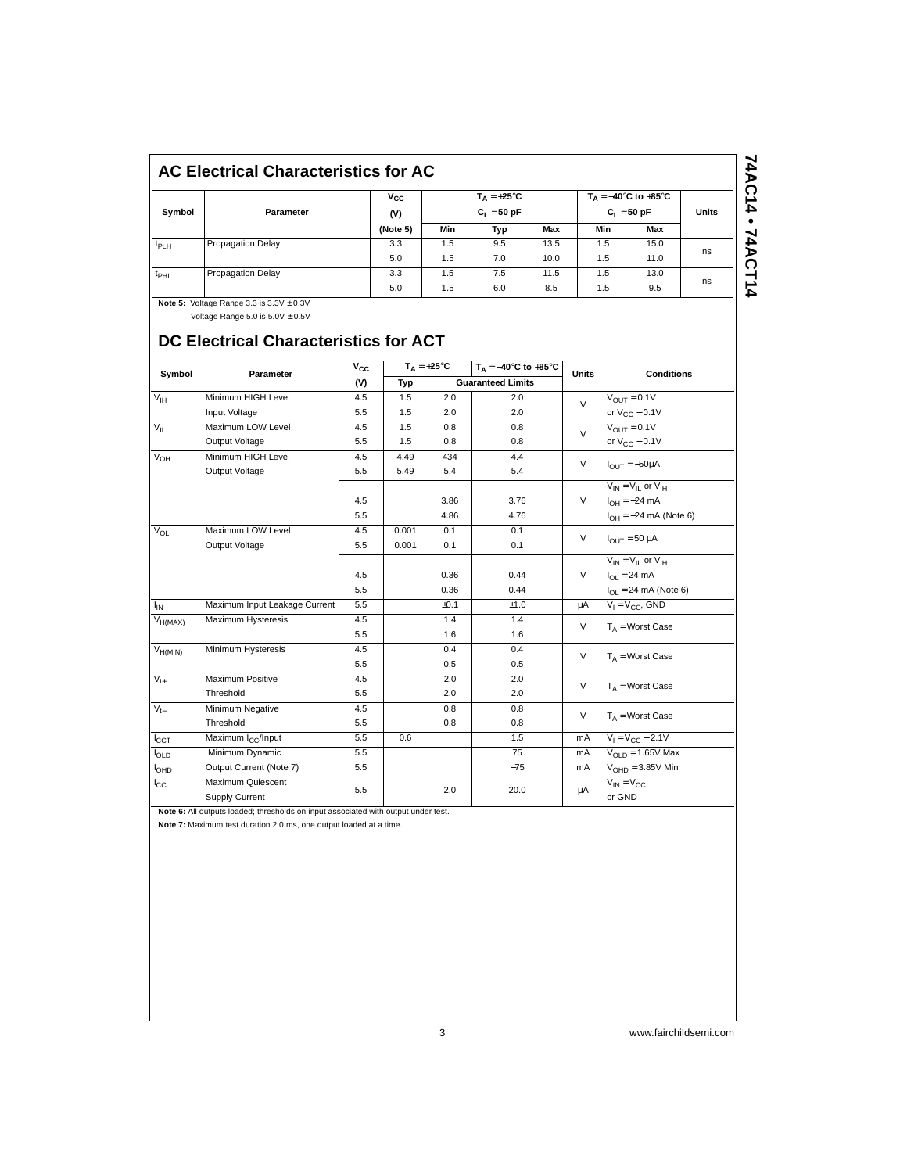| <b>AC Electrical Characteristics for AC</b> |                          |                     |                                              |     |      |                                             |              |    |  |
|---------------------------------------------|--------------------------|---------------------|----------------------------------------------|-----|------|---------------------------------------------|--------------|----|--|
| Symbol                                      | Parameter                | $v_{\rm cc}$<br>(V) | $T_{\Delta} = +25^{\circ}C$<br>$C_1 = 50$ pF |     |      | $T_A = -40$ °C to $+85$ °C<br>$C_1 = 50 pF$ | <b>Units</b> |    |  |
|                                             |                          | (Note 5)            | Min                                          | Typ | Max  | Min                                         | Max          |    |  |
| t <sub>PLH</sub>                            | <b>Propagation Delay</b> | 3.3                 | 1.5                                          | 9.5 | 13.5 | 1.5                                         | 15.0         | ns |  |
|                                             |                          | 5.0                 | 1.5                                          | 7.0 | 10.0 | 1.5                                         | 11.0         |    |  |
| $t_{\rm PHL}$                               | <b>Propagation Delay</b> | 3.3                 | 1.5                                          | 7.5 | 11.5 | 1.5                                         | 13.0         | ns |  |
|                                             |                          | 5.0                 | 1.5                                          | 6.0 | 8.5  | 1.5                                         | 9.5          |    |  |

**Note 5:** Voltage Range 3.3 is 3.3V ± 0.3V

Voltage Range  $5.0$  is  $5.0V \pm 0.5V$ 

# **DC Electrical Characteristics for ACT**

|                 |                                     | $T_A = +25^{\circ}C$<br>$v_{\rm cc}$ |       | $T_A = -40^\circ \text{C}$ to $+85^\circ \text{C}$ |                          |              |                                 |  |
|-----------------|-------------------------------------|--------------------------------------|-------|----------------------------------------------------|--------------------------|--------------|---------------------------------|--|
| Symbol          | Parameter                           | (V)                                  | Typ   |                                                    | <b>Guaranteed Limits</b> | <b>Units</b> | <b>Conditions</b>               |  |
| $V_{\text{IH}}$ | Minimum HIGH Level                  | 4.5                                  | 1.5   | 2.0                                                | 2.0                      | $\vee$       | $V_{\text{OUT}} = 0.1V$         |  |
|                 | Input Voltage                       | 5.5                                  | 1.5   | 2.0                                                | 2.0                      |              | or $V_{CC}$ – 0.1V              |  |
| $V_{IL}$        | Maximum LOW Level                   | 4.5                                  | 1.5   | 0.8                                                | 0.8                      | $\vee$       | $V_{OIII} = 0.1V$               |  |
|                 | Output Voltage                      | 5.5                                  | 1.5   | 0.8                                                | 0.8                      |              | or $V_{CC}$ – 0.1V              |  |
| $V_{OH}$        | Minimum HIGH Level                  | 4.5                                  | 4.49  | 434                                                | 4.4                      | $\vee$       |                                 |  |
|                 | Output Voltage                      | 5.5                                  | 5.49  | 5.4                                                | 5.4                      |              | $I_{\text{OUT}} = -50 \mu A$    |  |
|                 |                                     |                                      |       |                                                    |                          |              | $V_{IN} = V_{II}$ or $V_{IH}$   |  |
|                 |                                     | 4.5                                  |       | 3.86                                               | 3.76                     | $\vee$       | $I_{OH} = -24$ mA               |  |
|                 |                                     | 5.5                                  |       | 4.86                                               | 4.76                     |              | $I_{OH} = -24$ mA (Note 6)      |  |
| $V_{OL}$        | Maximum LOW Level                   | 4.5                                  | 0.001 | 0.1                                                | 0.1                      | $\vee$       |                                 |  |
|                 | Output Voltage                      | 5.5                                  | 0.001 | 0.1                                                | 0.1                      |              | $I_{\text{OUT}} = 50 \mu A$     |  |
|                 |                                     |                                      |       |                                                    |                          |              | $V_{IN} = V_{II}$ or $V_{IH}$   |  |
|                 |                                     | 4.5                                  |       | 0.36                                               | 0.44                     | $\vee$       | $I_{OL} = 24 \text{ mA}$        |  |
|                 |                                     | 5.5                                  |       | 0.36                                               | 0.44                     |              | $I_{OL}$ = 24 mA (Note 6)       |  |
| Ι <sub>ΙΝ</sub> | Maximum Input Leakage Current       | 5.5                                  |       | ±0.1                                               | ±1.0                     | μA           | $V_1 = V_{CC}$ , GND            |  |
| $V_{H(MAX)}$    | Maximum Hysteresis                  | 4.5                                  |       | 1.4                                                | 1.4                      | $\vee$       | $T_A$ = Worst Case              |  |
|                 |                                     | 5.5                                  |       | 1.6                                                | 1.6                      |              |                                 |  |
| $V_{H(MIN)}$    | Minimum Hysteresis                  | 4.5                                  |       | 0.4                                                | 0.4                      | V            |                                 |  |
|                 |                                     | 5.5                                  |       | 0.5                                                | 0.5                      |              | $T_A$ = Worst Case              |  |
| $V_{t+}$        | <b>Maximum Positive</b>             | 4.5                                  |       | 2.0                                                | 2.0                      | V            | $T_A =$ Worst Case              |  |
|                 | Threshold                           | 5.5                                  |       | 2.0                                                | 2.0                      |              |                                 |  |
| $V_{t-}$        | Minimum Negative                    | 4.5                                  |       | 0.8                                                | 0.8                      | V            |                                 |  |
|                 | Threshold                           | 5.5                                  |       | 0.8                                                | 0.8                      |              | $T_A$ = Worst Case              |  |
| $I_{CCT}$       | Maximum I <sub>CC</sub> /Input      | 5.5                                  | 0.6   |                                                    | 1.5                      | mA           | $V_1 = V_{CC} - 2.1V$           |  |
| <b>OLD</b>      | Minimum Dynamic                     | 5.5                                  |       |                                                    | 75                       | mA           | $V_{\text{OI}}$ $p = 1.65V$ Max |  |
| <b>I</b> OHD    | Output Current (Note 7)             | 5.5                                  |       |                                                    | $-75$                    | mA           | $VOHD = 3.85V$ Min              |  |
| $I_{\rm CC}$    | Maximum Quiescent<br>Supply Current | 5.5                                  |       | 2.0                                                | 20.0                     | μA           | $V_{IN} = V_{CC}$<br>or GND     |  |

**Note 6:** All outputs loaded; thresholds on input associated with output under test.

**Note 7:** Maximum test duration 2.0 ms, one output loaded at a time.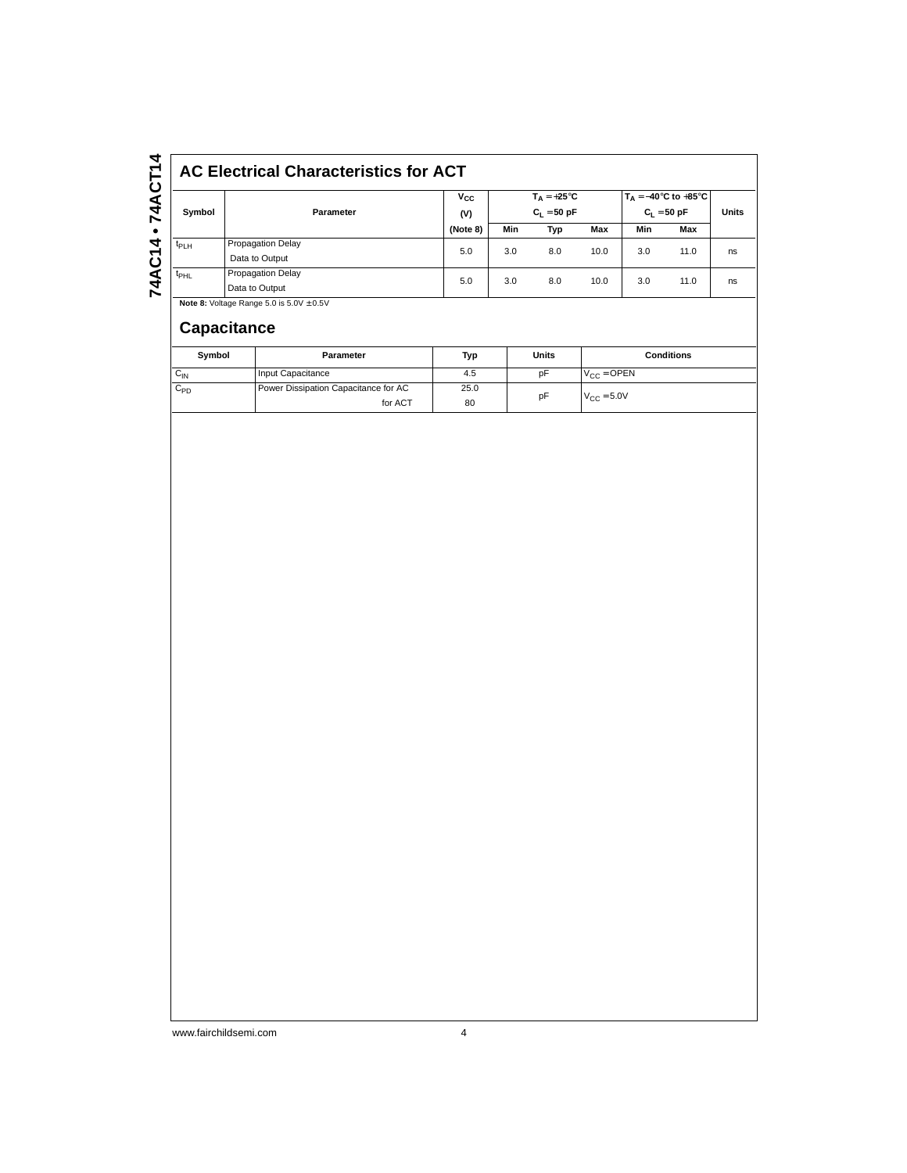74AC14 - 74ACT14 **74AC14 • 74ACT14**

# **AC Electrical Characteristics for ACT**

|                  |                          | $v_{\rm cc}$ |     | $T_A = +25^{\circ}C$ |      |     | $T_A = -40^\circ \text{C}$ to $+85^\circ \text{C}$ |              |
|------------------|--------------------------|--------------|-----|----------------------|------|-----|----------------------------------------------------|--------------|
| Symbol           | Parameter                | (V)          |     | $C_1 = 50 pF$        |      |     | $C_1 = 50 pF$                                      | <b>Units</b> |
|                  |                          | (Note 8)     | Min | Typ                  | Max  | Min | Max                                                |              |
| t <sub>PLH</sub> | <b>Propagation Delay</b> | 5.0          | 3.0 | 8.0                  | 10.0 | 3.0 | 11.0                                               | ns           |
|                  | Data to Output           |              |     |                      |      |     |                                                    |              |
| t <sub>PHL</sub> | <b>Propagation Delay</b> | 5.0          | 3.0 | 8.0                  | 10.0 | 3.0 | 11.0                                               | ns           |
|                  | Data to Output           |              |     |                      |      |     |                                                    |              |
| .                | .                        |              |     |                      |      |     |                                                    |              |

**Note 8: Voltage Range 5.0 is**  $5.0V \pm 0.5V$ 

# **Capacitance**

| Symbol   | Parameter                            | Typ  | Units | <b>Conditions</b> |
|----------|--------------------------------------|------|-------|-------------------|
| $C_{IN}$ | Input Capacitance                    | 4.5  | pF    | $V_{CC} =$ OPEN   |
| $C_{PD}$ | Power Dissipation Capacitance for AC | 25.0 | pF    | $V_{CC}$ = 5.0V   |
|          | for ACT                              | 80   |       |                   |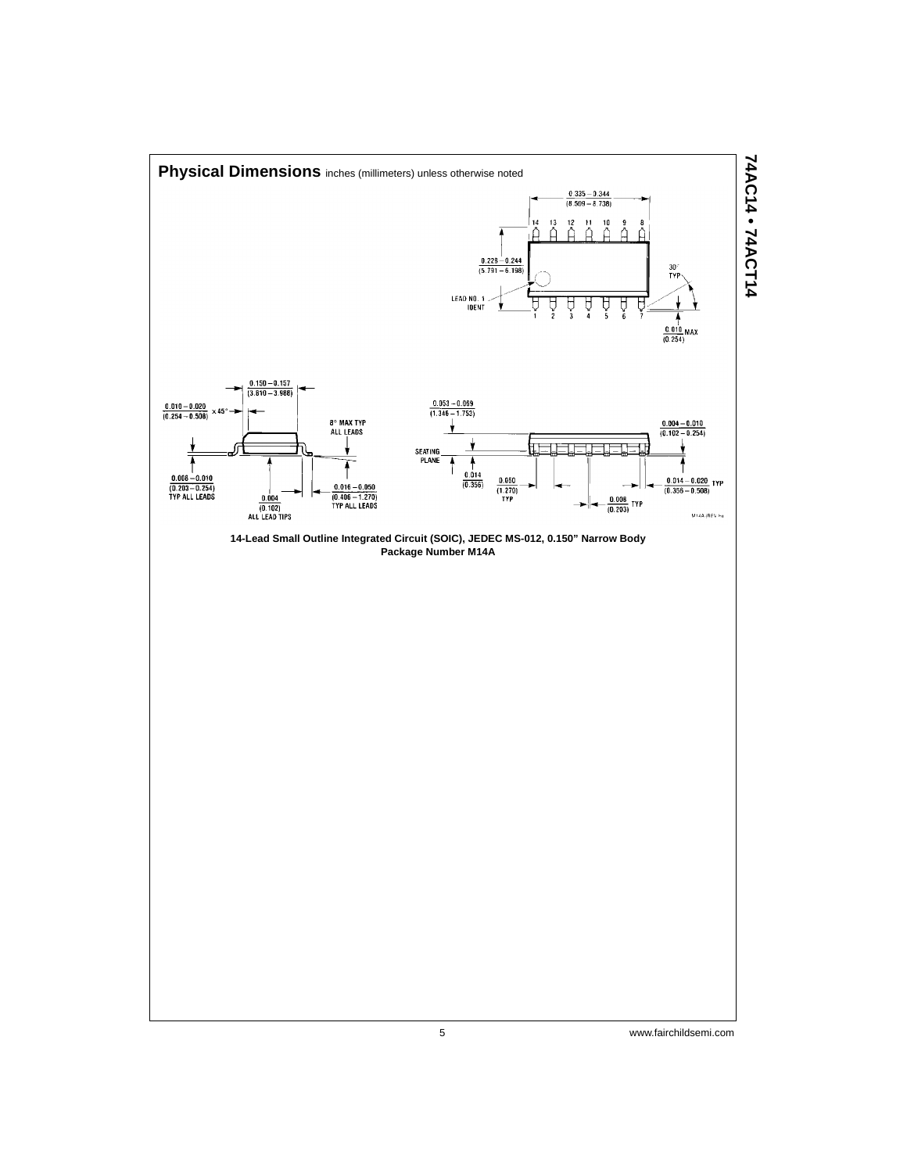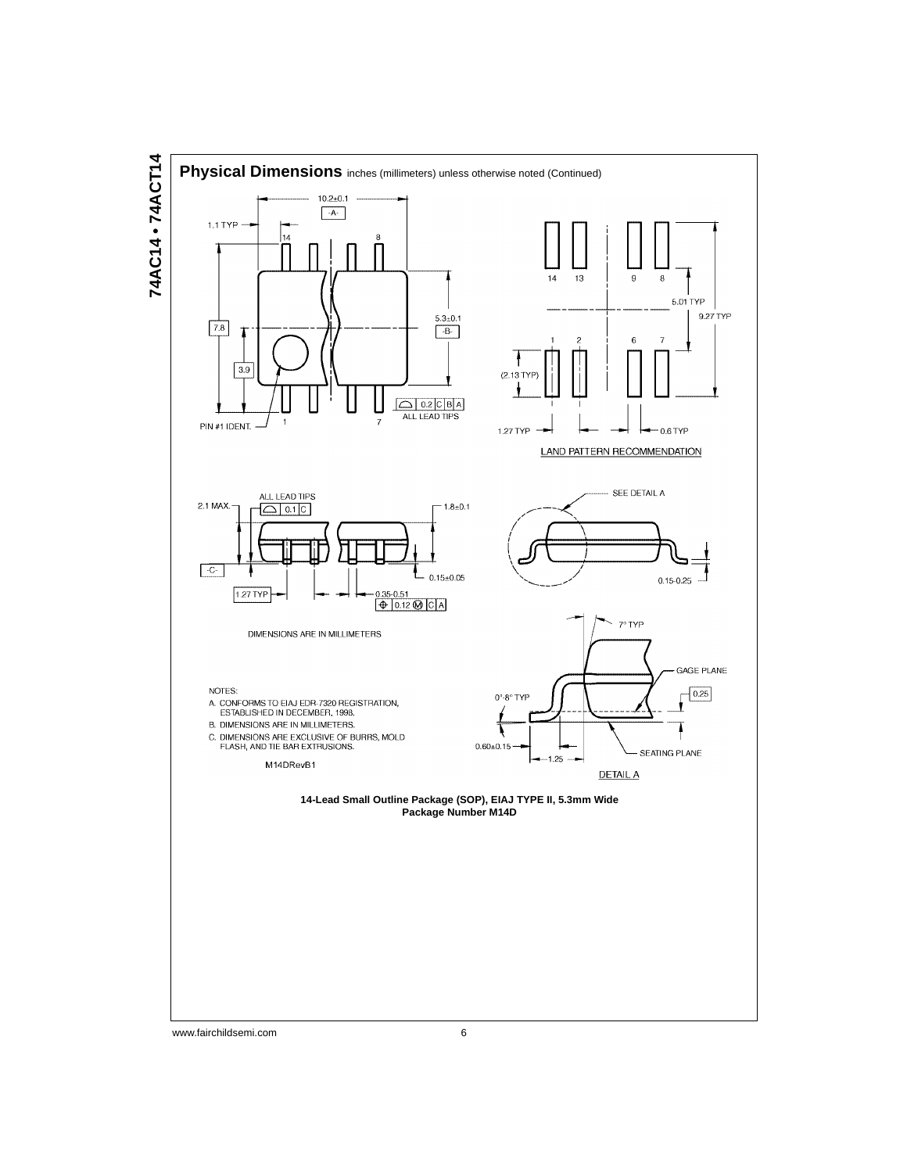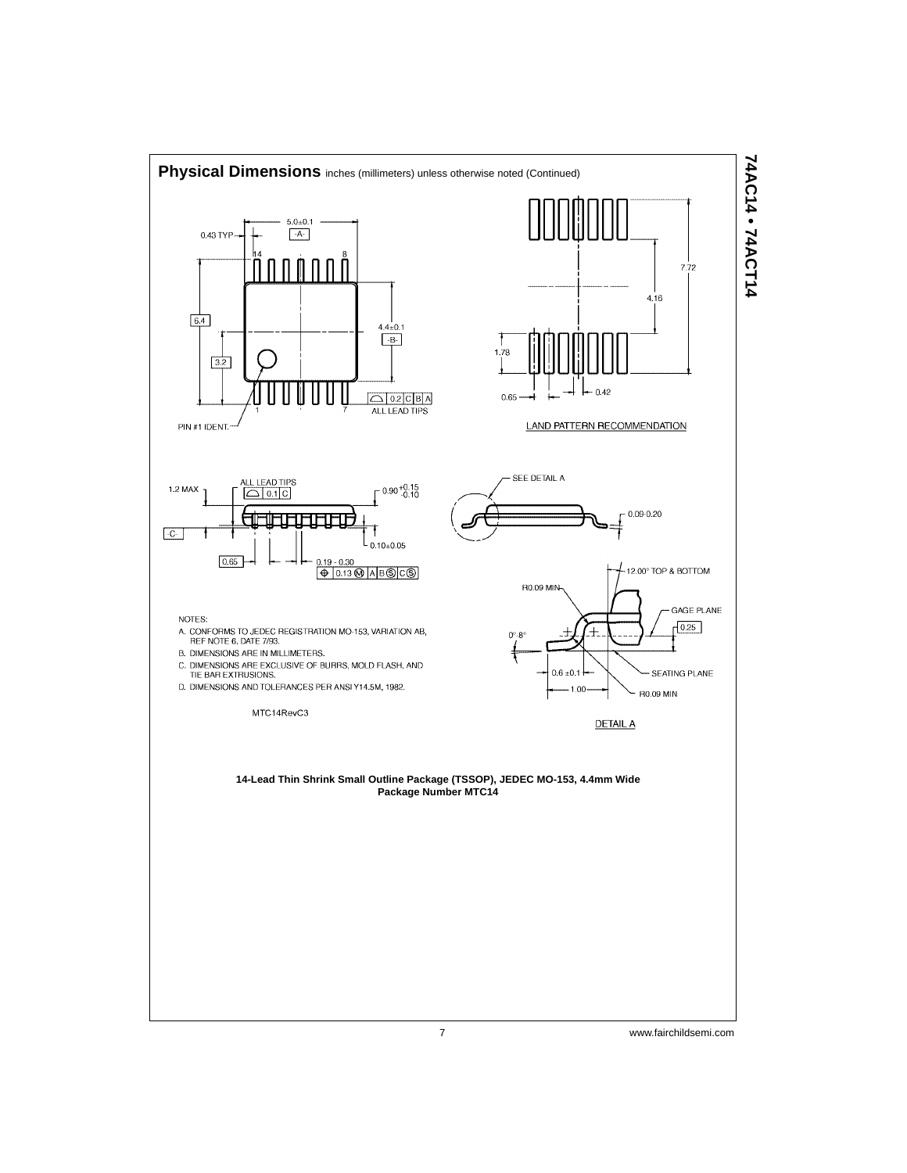